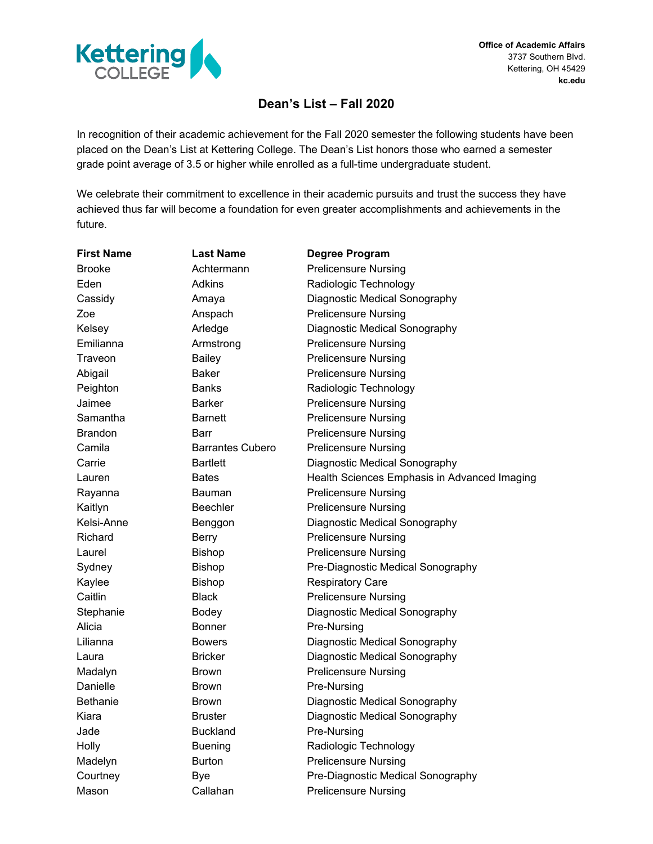

**Office of Academic Affairs** 3737 Southern Blvd. Kettering, OH 45429 **kc.edu**

## **Dean's List – Fall 2020**

In recognition of their academic achievement for the Fall 2020 semester the following students have been placed on the Dean's List at Kettering College. The Dean's List honors those who earned a semester grade point average of 3.5 or higher while enrolled as a full-time undergraduate student.

We celebrate their commitment to excellence in their academic pursuits and trust the success they have achieved thus far will become a foundation for even greater accomplishments and achievements in the future.

| <b>First Name</b> | <b>Last Name</b>        | <b>Degree Program</b>                        |
|-------------------|-------------------------|----------------------------------------------|
| <b>Brooke</b>     | Achtermann              | <b>Prelicensure Nursing</b>                  |
| Eden              | Adkins                  | Radiologic Technology                        |
| Cassidy           | Amaya                   | Diagnostic Medical Sonography                |
| Zoe               | Anspach                 | <b>Prelicensure Nursing</b>                  |
| Kelsey            | Arledge                 | Diagnostic Medical Sonography                |
| Emilianna         | Armstrong               | <b>Prelicensure Nursing</b>                  |
| Traveon           | <b>Bailey</b>           | <b>Prelicensure Nursing</b>                  |
| Abigail           | Baker                   | <b>Prelicensure Nursing</b>                  |
| Peighton          | <b>Banks</b>            | Radiologic Technology                        |
| Jaimee            | <b>Barker</b>           | <b>Prelicensure Nursing</b>                  |
| Samantha          | <b>Barnett</b>          | <b>Prelicensure Nursing</b>                  |
| <b>Brandon</b>    | Barr                    | <b>Prelicensure Nursing</b>                  |
| Camila            | <b>Barrantes Cubero</b> | <b>Prelicensure Nursing</b>                  |
| Carrie            | <b>Bartlett</b>         | Diagnostic Medical Sonography                |
| Lauren            | <b>Bates</b>            | Health Sciences Emphasis in Advanced Imaging |
| Rayanna           | Bauman                  | <b>Prelicensure Nursing</b>                  |
| Kaitlyn           | Beechler                | <b>Prelicensure Nursing</b>                  |
| Kelsi-Anne        | Benggon                 | Diagnostic Medical Sonography                |
| Richard           | <b>Berry</b>            | <b>Prelicensure Nursing</b>                  |
| Laurel            | <b>Bishop</b>           | <b>Prelicensure Nursing</b>                  |
| Sydney            | <b>Bishop</b>           | Pre-Diagnostic Medical Sonography            |
| Kaylee            | <b>Bishop</b>           | <b>Respiratory Care</b>                      |
| Caitlin           | <b>Black</b>            | <b>Prelicensure Nursing</b>                  |
| Stephanie         | <b>Bodey</b>            | Diagnostic Medical Sonography                |
| Alicia            | <b>Bonner</b>           | Pre-Nursing                                  |
| Lilianna          | <b>Bowers</b>           | Diagnostic Medical Sonography                |
| Laura             | <b>Bricker</b>          | Diagnostic Medical Sonography                |
| Madalyn           | <b>Brown</b>            | <b>Prelicensure Nursing</b>                  |
| Danielle          | <b>Brown</b>            | Pre-Nursing                                  |
| <b>Bethanie</b>   | <b>Brown</b>            | Diagnostic Medical Sonography                |
| Kiara             | <b>Bruster</b>          | Diagnostic Medical Sonography                |
| Jade              | <b>Buckland</b>         | Pre-Nursing                                  |
| Holly             | <b>Buening</b>          | Radiologic Technology                        |
| Madelyn           | <b>Burton</b>           | <b>Prelicensure Nursing</b>                  |
| Courtney          | <b>Bye</b>              | Pre-Diagnostic Medical Sonography            |
| Mason             | Callahan                | <b>Prelicensure Nursing</b>                  |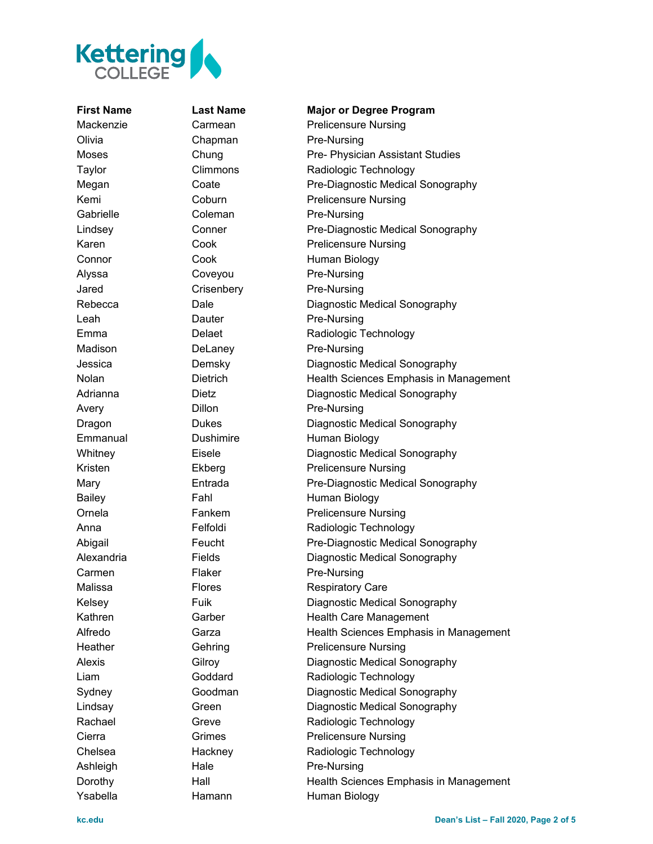

Olivia Chapman Pre-Nursing Gabrielle Coleman Pre-Nursing Alyssa Coveyou Pre-Nursing Jared Crisenbery Pre-Nursing Leah Dauter Pre-Nursing Madison DeLaney Pre-Nursing Avery Dillon Pre-Nursing Carmen Flaker Pre-Nursing Ashleigh Hale Pre-Nursing

## **First Name Last Name Major or Degree Program**

Mackenzie Carmean Prelicensure Nursing Moses Chung Pre- Physician Assistant Studies Taylor Climmons Radiologic Technology Megan Coate Pre-Diagnostic Medical Sonography Kemi Coburn Prelicensure Nursing Lindsey Conner Pre-Diagnostic Medical Sonography Karen Cook Prelicensure Nursing Connor Cook Cook Human Biology Rebecca Dale Diagnostic Medical Sonography Emma Delaet Radiologic Technology Jessica Demsky Diagnostic Medical Sonography Nolan Dietrich Health Sciences Emphasis in Management Adrianna Dietz Diagnostic Medical Sonography Dragon Dukes Dukes Diagnostic Medical Sonography Emmanual Dushimire Human Biology Whitney **Eisele Eisele** Diagnostic Medical Sonography Kristen Ekberg Prelicensure Nursing Mary Entrada Pre-Diagnostic Medical Sonography Bailey Fahl Fahl Human Biology Ornela **Fankem** Prelicensure Nursing Anna Felfoldi Radiologic Technology Abigail Feucht Pre-Diagnostic Medical Sonography Alexandria Fields Diagnostic Medical Sonography Malissa **Flores** Flores Respiratory Care Kelsey **Fuik** Fuik Diagnostic Medical Sonography Kathren Garber Health Care Management Alfredo **Garza** Garza Health Sciences Emphasis in Management Heather Gehring Prelicensure Nursing Alexis Gilroy Diagnostic Medical Sonography Liam Goddard Radiologic Technology Sydney Goodman Diagnostic Medical Sonography Lindsay **Green** Green Diagnostic Medical Sonography Rachael Greve Radiologic Technology Cierra **Grimes** Grimes Prelicensure Nursing Chelsea **Hackney** Radiologic Technology Dorothy **Hall** Hall Health Sciences Emphasis in Management Ysabella **Hamann** Human Biology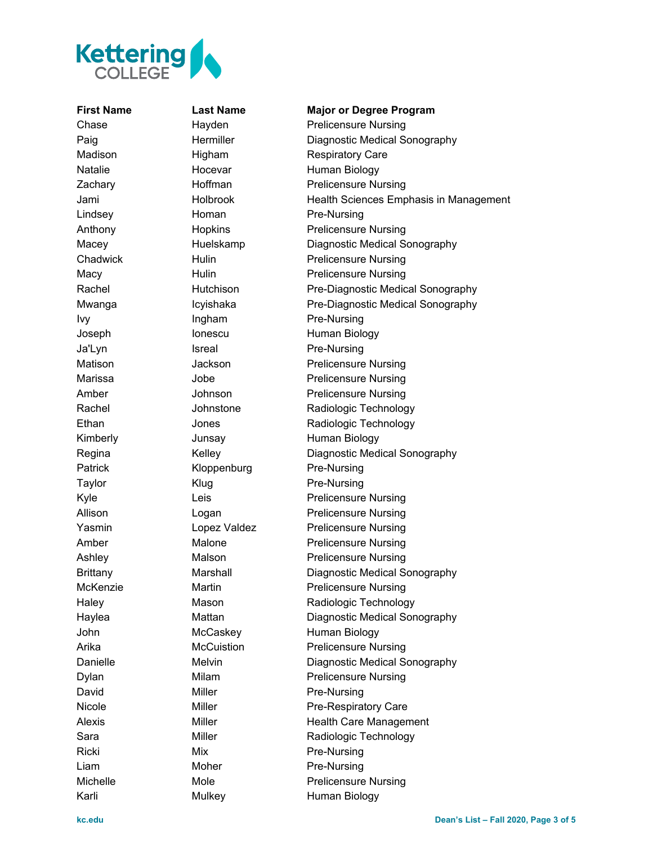

## **First Name Last Name Major or Degree Program**

Chase **Hayden** Prelicensure Nursing Paig **Hermiller** Diagnostic Medical Sonography Madison Higham Respiratory Care Natalie Hocevar Human Biology Zachary **Hoffman** Prelicensure Nursing Jami Holbrook Health Sciences Emphasis in Management Lindsey **Homan** Pre-Nursing Anthony Hopkins Prelicensure Nursing Macey Huelskamp Diagnostic Medical Sonography Chadwick Hulin Prelicensure Nursing Macy **Hulin** Hulin Prelicensure Nursing Rachel **Hutchison** Pre-Diagnostic Medical Sonography Mwanga Icyishaka Pre-Diagnostic Medical Sonography Ivy Ingham Pre-Nursing Joseph Ionescu Human Biology Ja'Lyn Isreal Pre-Nursing Matison **Jackson** Prelicensure Nursing Marissa **Jobe** Jobe **Prelicensure Nursing** Amber Johnson Prelicensure Nursing Rachel **National Communist Communist Communist Communist Communist Communist Communist Communist Communist Communist Communist Communist Communist Communist Communist Communist Communist Communist Communist Communist Commu** Ethan Jones Radiologic Technology Kimberly **Junsay** Human Biology Regina Kelley Diagnostic Medical Sonography Patrick Kloppenburg Pre-Nursing Taylor Klug Re-Nursing Kyle **Leis** Leis **Prelicensure Nursing** Allison Logan **Prelicensure Nursing** Yasmin **Lopez Valdez** Prelicensure Nursing Amber Malone Prelicensure Nursing Ashley Malson Malson Prelicensure Nursing Brittany Marshall Diagnostic Medical Sonography McKenzie **Martin** Martin **Prelicensure Nursing** Haley Mason Radiologic Technology Haylea Mattan Diagnostic Medical Sonography John McCaskey Human Biology Arika McCuistion Prelicensure Nursing Danielle Melvin Diagnostic Medical Sonography Dylan Milam Milam Prelicensure Nursing David Miller Miller Pre-Nursing Nicole Miller Miller Pre-Respiratory Care Alexis Miller Miller Health Care Management Sara Miller Radiologic Technology Ricki Mix Mix Pre-Nursing Liam Moher Pre-Nursing Michelle Mole Mole Prelicensure Nursing Karli Mulkey Human Biology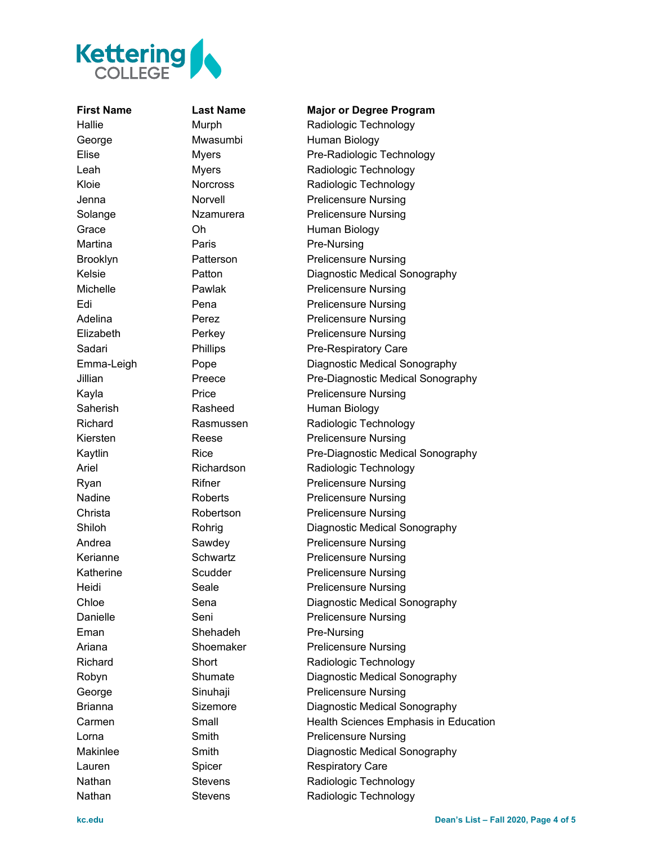

Martina **Paris** Paris Pre-Nursing Eman Shehadeh Pre-Nursing

**First Name Last Name Major or Degree Program** Hallie Murph Radiologic Technology George Mwasumbi Human Biology Elise Myers Pre-Radiologic Technology Leah Myers Radiologic Technology Kloie **Norcross** Radiologic Technology Jenna Norvell Prelicensure Nursing Solange Missim Nzamurera Prelicensure Nursing Grace **Oh Chamber Chamber Chamber Chamber Chamber Chamber Chamber Chamber Chamber Chamber Chamber Chamber Chamber Chamber Chamber Chamber Chamber Chamber Chamber Chamber Chamber Chamber Chamber Chamber Chamber Chamber Cham** Brooklyn Patterson Prelicensure Nursing Kelsie Patton Diagnostic Medical Sonography Michelle Pawlak Prelicensure Nursing Edi Pena Prelicensure Nursing Adelina Perez Perez Prelicensure Nursing Elizabeth Perkey Prelicensure Nursing Sadari Phillips Pre-Respiratory Care Emma-Leigh Pope Diagnostic Medical Sonography Jillian Preece Pre-Diagnostic Medical Sonography Kayla Price Price Prelicensure Nursing Saherish Rasheed Human Biology Richard Rasmussen Radiologic Technology Kiersten Reese Prelicensure Nursing Kaytlin Rice Rice Pre-Diagnostic Medical Sonography Ariel Richardson Radiologic Technology Ryan Rifner Prelicensure Nursing Nadine Roberts Prelicensure Nursing Christa **Robertson** Prelicensure Nursing Shiloh Rohrig Diagnostic Medical Sonography Andrea **Sawdey Prelicensure Nursing** Kerianne Schwartz Prelicensure Nursing Katherine Scudder Prelicensure Nursing Heidi Seale **Seale** Prelicensure Nursing Chloe Sena Sena Diagnostic Medical Sonography Danielle Seni Prelicensure Nursing Ariana Shoemaker Prelicensure Nursing Richard Short Short Radiologic Technology Robyn Shumate Diagnostic Medical Sonography George Sinuhaji Prelicensure Nursing Brianna Sizemore Diagnostic Medical Sonography Carmen **Small** Small Health Sciences Emphasis in Education Lorna **Smith** Smith **Prelicensure Nursing** Makinlee Smith Diagnostic Medical Sonography Lauren Spicer Respiratory Care Nathan Stevens Radiologic Technology Nathan Stevens Radiologic Technology